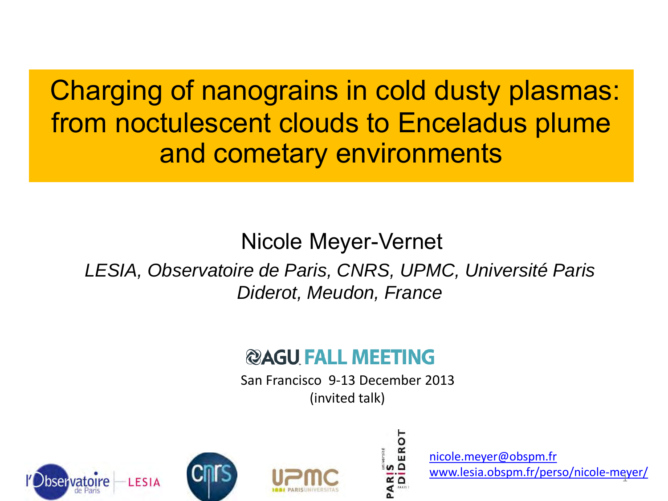Charging of nanograins in cold dusty plasmas: from noctulescent clouds to Enceladus plume and cometary environments

### Nicole Meyer-Vernet

*LESIA, Observatoire de Paris, CNRS, UPMC, Université Paris Diderot, Meudon, France*

#### **@AGU FALL MEETING**

San Francisco 9-13 December 2013 (invited talk)







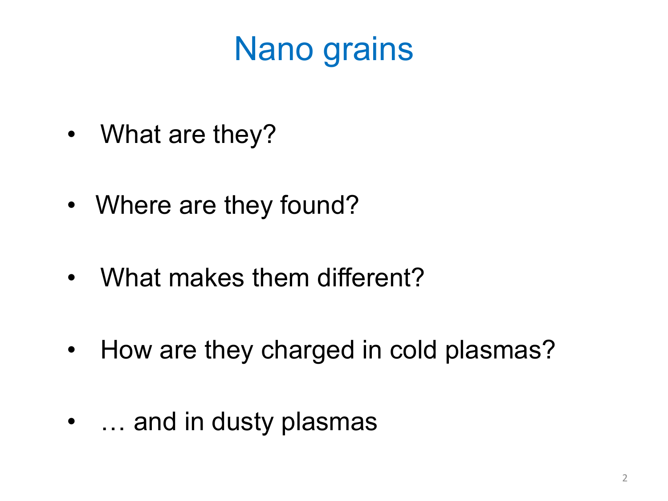# Nano grains

- What are they?
- Where are they found?
- What makes them different?
- How are they charged in cold plasmas?
- ... and in dusty plasmas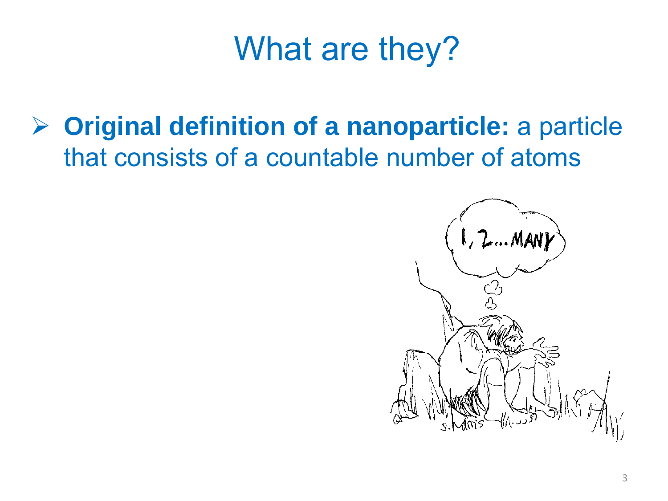**Original definition of a nanoparticle:** a particle that consists of a countable number of atoms

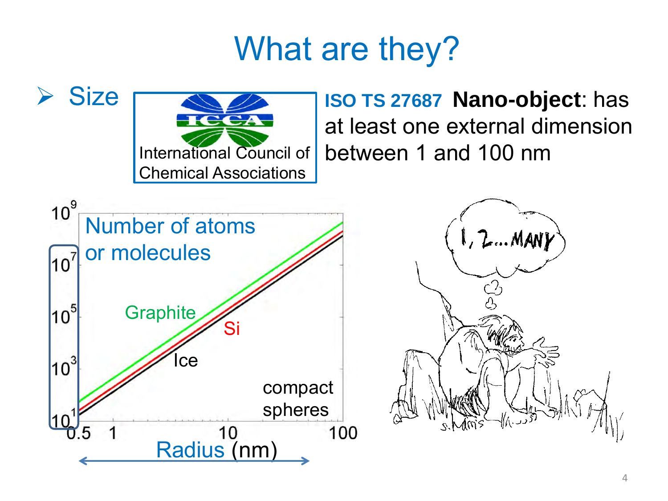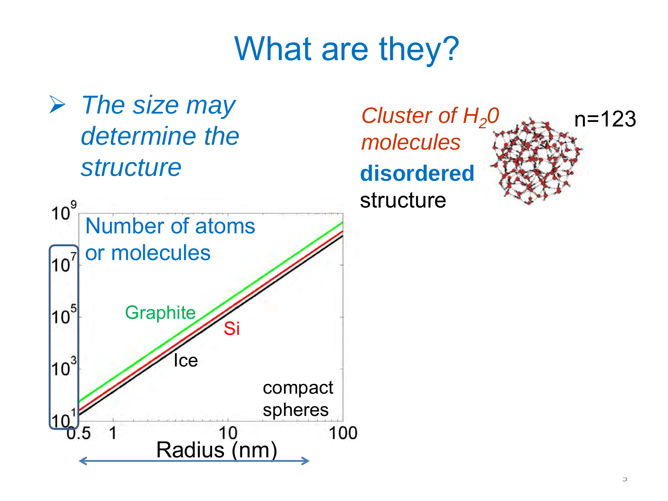*The size may determine the structure*



*molecules* **disordered** structure

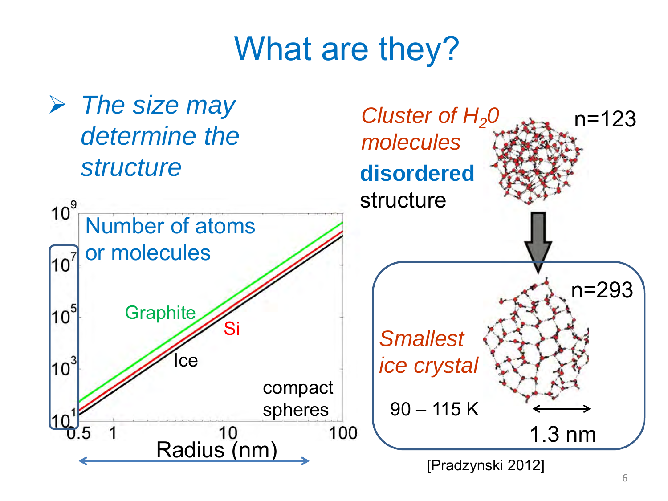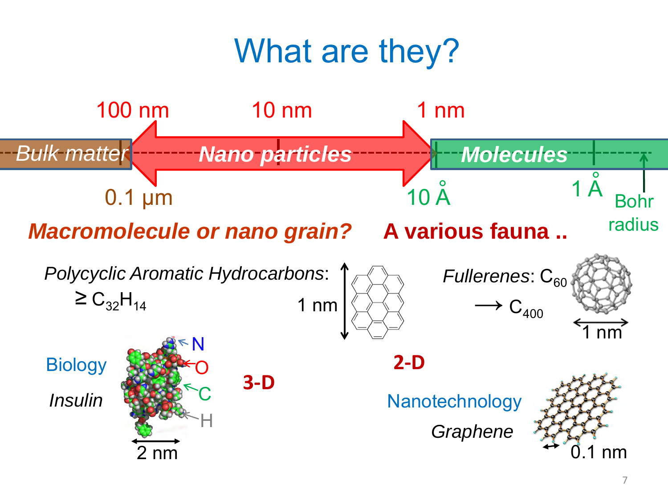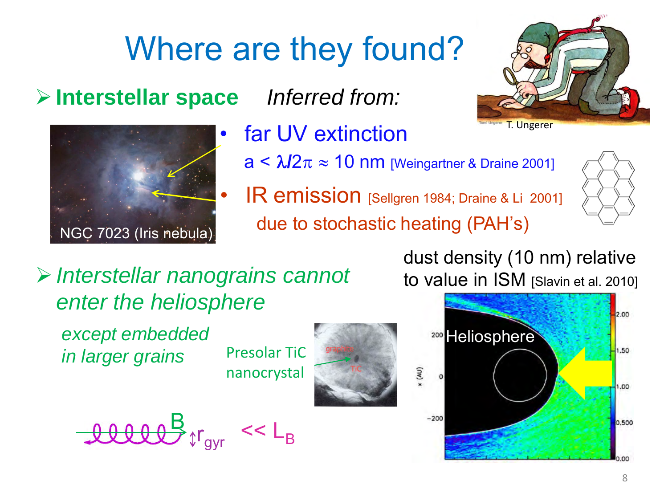#### **Interstellar space**



far UV extinction

*Inferred from:*

- $a < \lambda/2\pi \approx 10$  nm [Weingartner & Draine 2001]
- IR emission [Sellgren 1984; Draine & Li 2001] due to stochastic heating (PAH's)



*Interstellar nanograins cannot enter the heliosphere*

*except embedded in larger grains* Presolar TiC

nanocrystal









dust density (10 nm) relative to value in ISM [Slavin et al. 2010]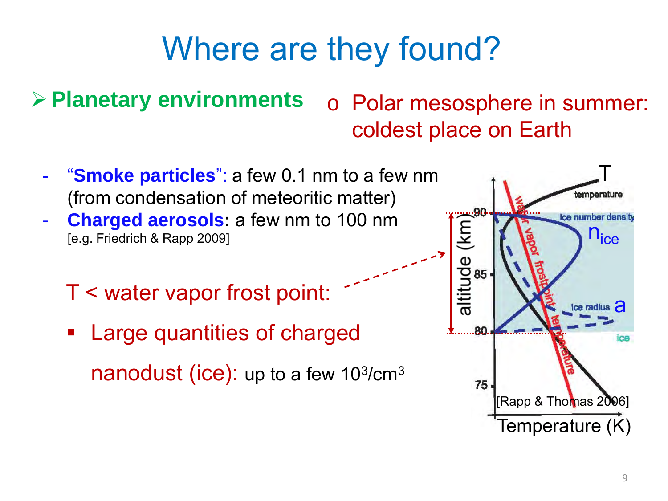**Planetary environments**

### o Polar mesosphere in summer: coldest place on Earth

- "**Smoke particles**": a few 0.1 nm to a few nm (from condensation of meteoritic matter)
- **Charged aerosols:** a few nm to 100 nm [e.g. Friedrich & Rapp 2009]
	- T < water vapor frost point:
	- **Example 2** Large quantities of charged nanodust (ice): up to a few  $10^{3}/cm^{3}$

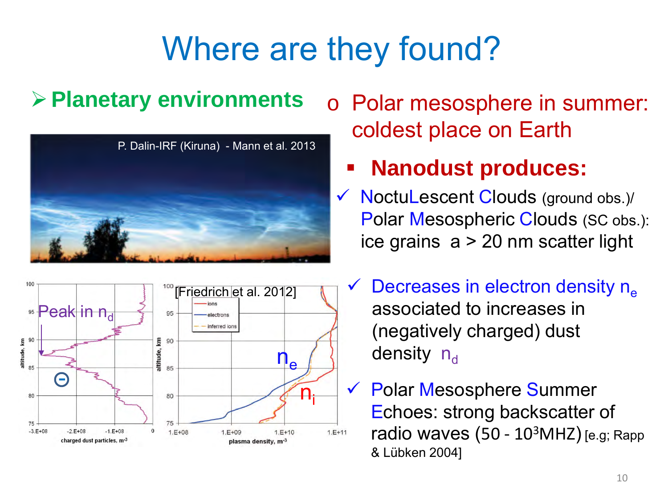### **Planetary environments**





o Polar mesosphere in summer: coldest place on Earth

### **Nanodust produces:**

- $\checkmark$  NoctuLescent Clouds (ground obs.)/ Polar Mesospheric Clouds (SC obs.): ice grains a > 20 nm scatter light
- Decreases in electron density  $n_e$ associated to increases in (negatively charged) dust  $n_e$   $\left\{\right\}$  density  $n_d$ 
	- Polar Mesosphere Summer Echoes: strong backscatter of radio waves  $(50 - 10<sup>3</sup>MHz)$  [e.g; Rapp & Lübken 2004]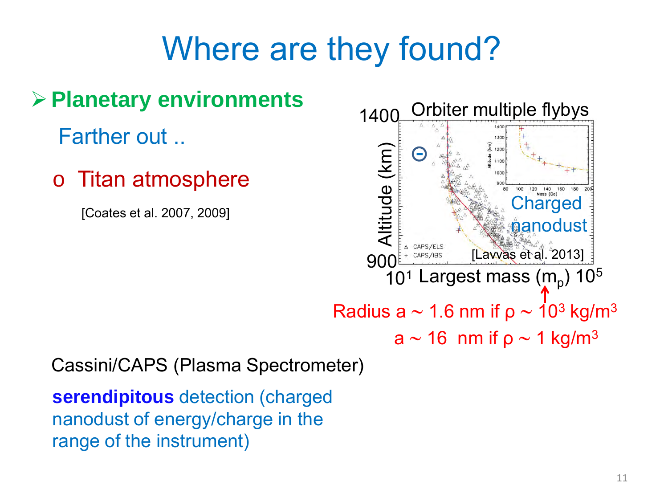

Cassini/CAPS (Plasma Spectrometer)

**serendipitous** detection (charged nanodust of energy/charge in the range of the instrument)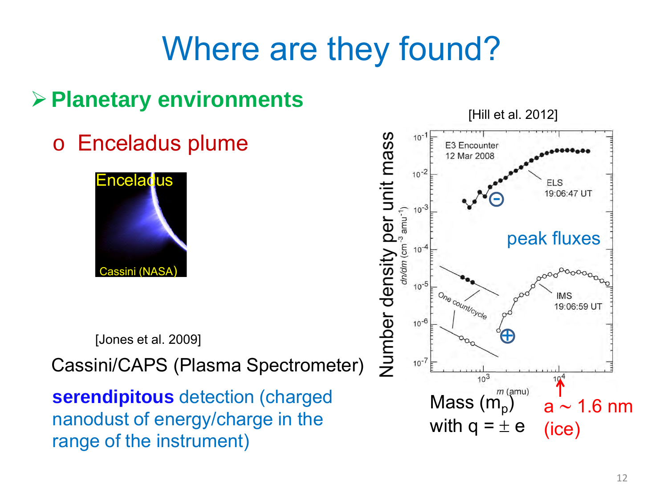### **Planetary environments**

o Enceladus plume



[Jones et al. 2009]

Cassini/CAPS (Plasma Spectrometer)

**serendipitous** detection (charged nanodust of energy/charge in the range of the instrument)

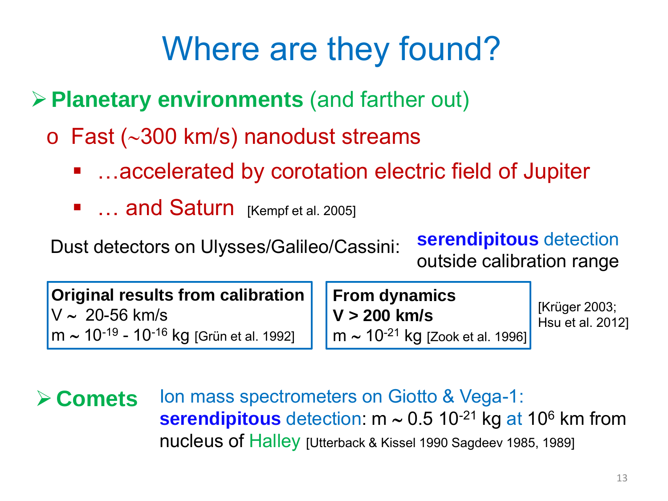**Planetary environments** (and farther out)

- o Fast (∼300 km/s) nanodust streams
	- …accelerated by corotation electric field of Jupiter
	- **E** ... and Saturn [Kempf et al. 2005]

Dust detectors on Ulysses/Galileo/Cassini:

**serendipitous** detection outside calibration range

**Original results from calibration** V ∼ 20-56 km/s m ∼ 10-19 - 10-16 kg [Grün et al. 1992]

**From dynamics V > 200 km/s** m ∼ 10-21 kg [Zook et al. 1996]

[Krüger 2003; Hsu et al. 2012]

**Examets** Ion mass spectrometers on Giotto & Vega-1: serendipitous detection: m ~ 0.5 10<sup>-21</sup> kg at 10<sup>6</sup> km from nucleus of Halley [Utterback & Kissel 1990 Sagdeev 1985, 1989]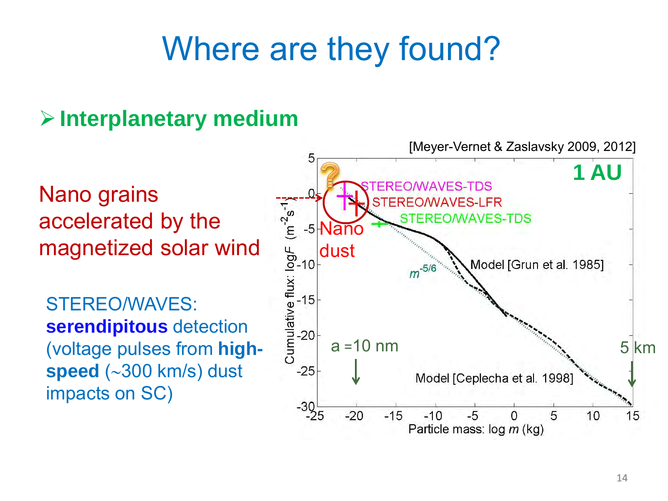### **Interplanetary medium**

Nano grains accelerated by the magnetized solar wind

STEREO/WAVES: **serendipitous** detection (voltage pulses from **highspeed** (∼300 km/s) dust impacts on SC)

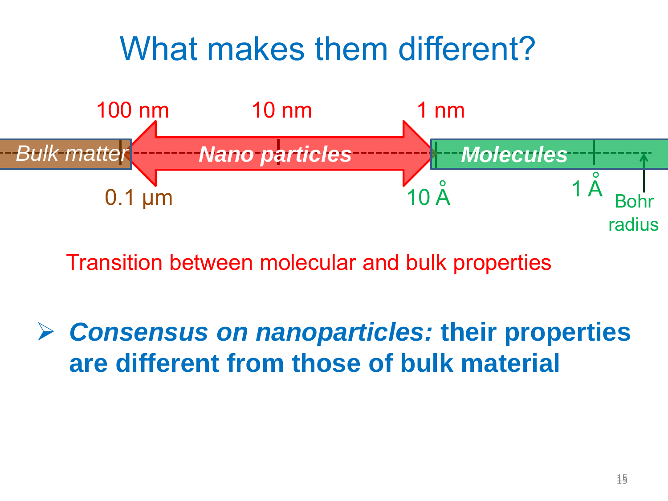

Transition between molecular and bulk properties

 *Consensus on nanoparticles:* **their properties are different from those of bulk material**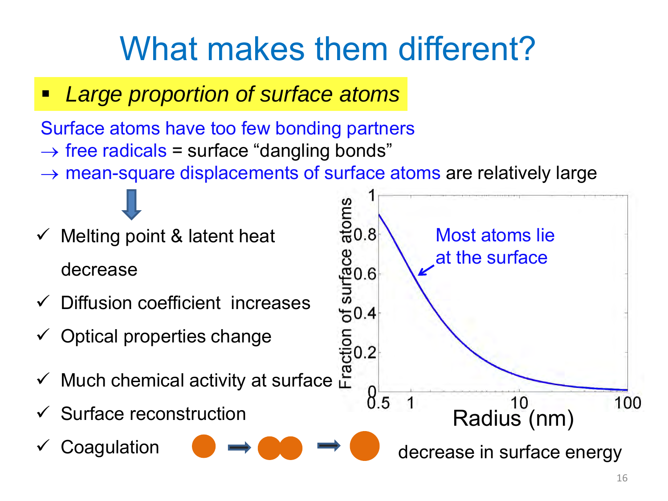*Large proportion of surface atoms*

Surface atoms have too few bonding partners

- $\rightarrow$  free radicals = surface "dangling bonds"
- $\rightarrow$  mean-square displacements of surface atoms are relatively large

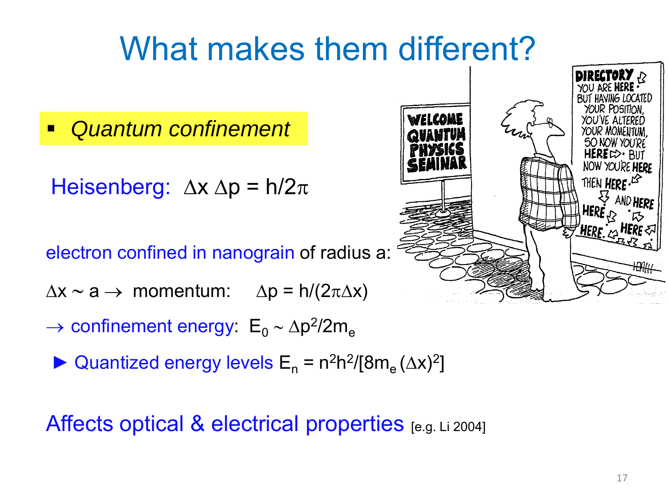*Quantum confinement*

Heisenberg:  $\Delta x \Delta p = h/2\pi$ 

electron confined in nanograin of radius a:

 $\Delta x \sim a \rightarrow \text{momentum:} \quad \Delta p = h/(2\pi\Delta x)$ 

- $\rightarrow$  confinement energy:  $E_0 \sim \Delta p^2 / 2m_e$ 
	- ► Quantized energy levels  $E_n = n^2h^2/[8m_e (\Delta x)^2]$

Affects optical & electrical properties [e.g. Li 2004]

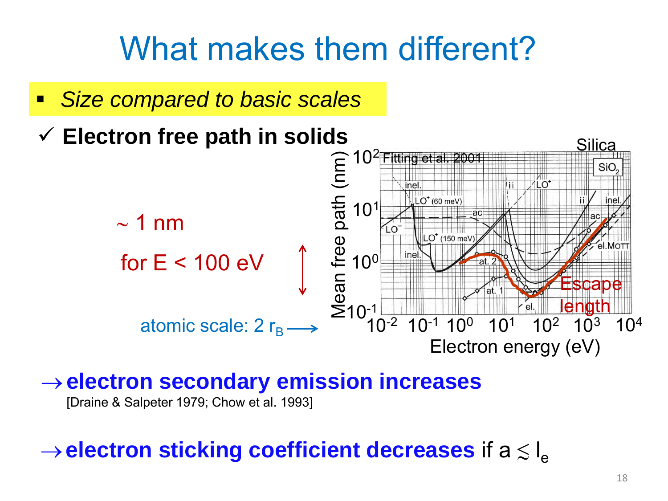*Size compared to basic scales*



#### →**electron secondary emission increases**

[Draine & Salpeter 1979; Chow et al. 1993]

### $\rightarrow$  electron sticking coefficient decreases if a  $\lesssim$  l<sub>e</sub>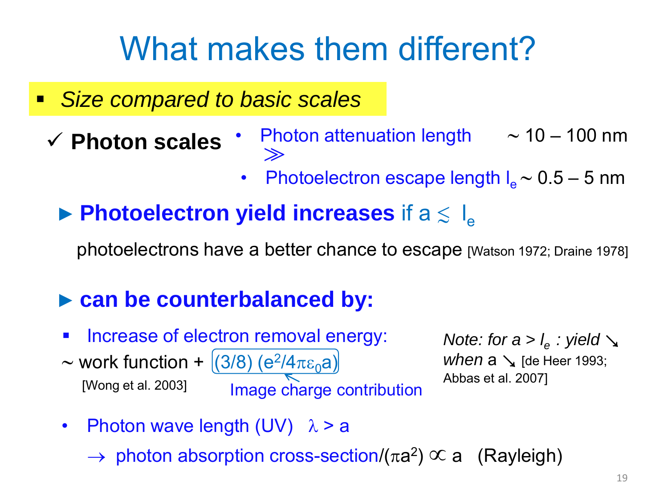- *Size compared to basic scales*
	- **Photon scales**
- Photon attenuation length ∼ 10 100 nm  $\gg$
- Photoelectron escape length I<sub>e</sub> ~ 0.5 5 nm
- $\blacktriangleright$  **Photoelectron yield increases** if a  $\leq$   $I_e$

photoelectrons have a better chance to escape [Watson 1972; Draine 1978]

#### ► **can be counterbalanced by:**

 Increase of electron removal energy: ~ work function +  $(3/8)$  (e<sup>2</sup>/4 $\pi \epsilon_0$ a) [Wong et al. 2003] **Image charge contribution** 

*Note: for a > l*<sub>e</sub> : yield  $\searrow$ *when*  $a \searrow$  [de Heer 1993; Abbas et al. 2007]

- Photon wave length  $(UV)$   $\lambda > a$ 
	- $\rightarrow$  photon absorption cross-section/( $\pi a^2$ )  $\propto a$  (Rayleigh)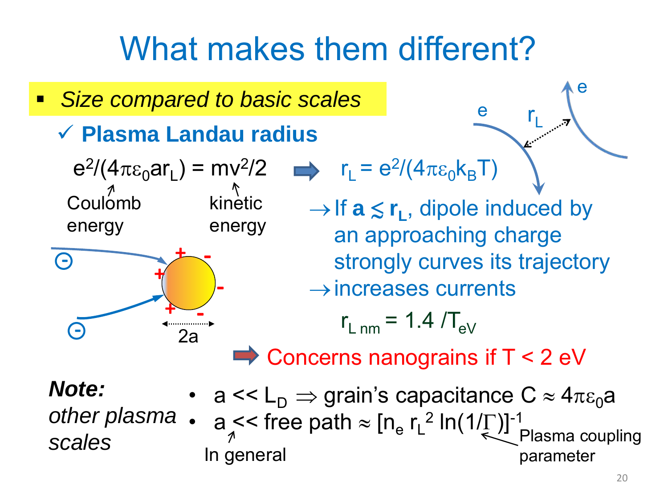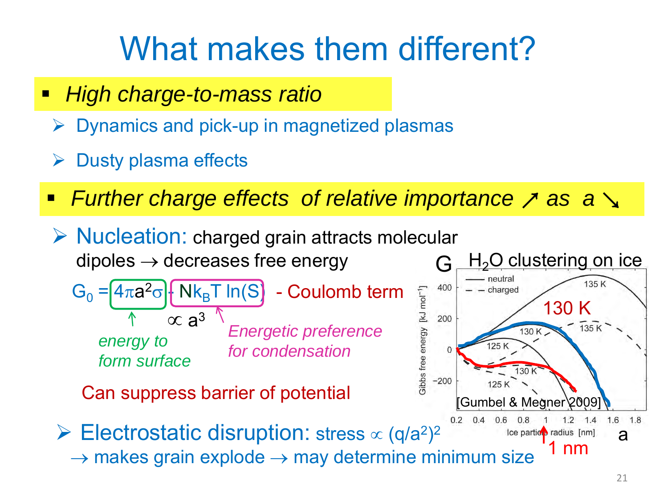- *High charge-to-mass ratio*
	- Dynamics and pick-up in magnetized plasmas
	- Dusty plasma effects
- **Further charge effects of relative importance** *7* **as a**  $\rightarrow$
- G  $\triangleright$  Nucleation: charged grain attracts molecular dipoles  $\rightarrow$  decreases free energy

$$
G_0 = 4\pi a^2 \sigma \cdot \frac{N k_B T \ln(S)}{N \propto a^3} - \text{Coulomb term}
$$
  
energy to  
form surface  
for condensation

Can suppress barrier of potential

 Electrostatic disruption: stress ∝ (q/a2)2  $\rightarrow$  makes grain explode  $\rightarrow$  may determine minimum size

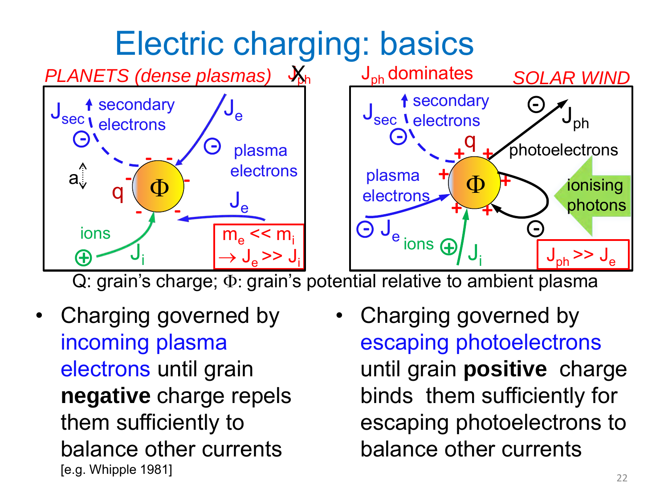

Q: grain's charge; Φ: grain's potential relative to ambient plasma

- Charging governed by incoming plasma electrons until grain **negative** charge repels them sufficiently to balance other currents [e.g. Whipple 1981]
- Charging governed by escaping photoelectrons until grain **positive** charge binds them sufficiently for escaping photoelectrons to balance other currents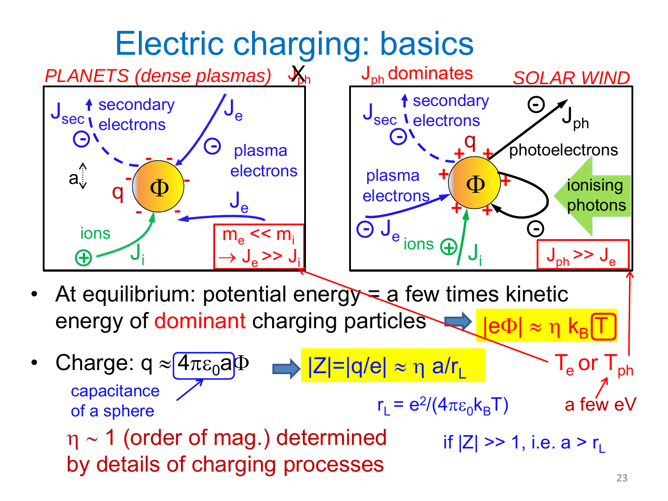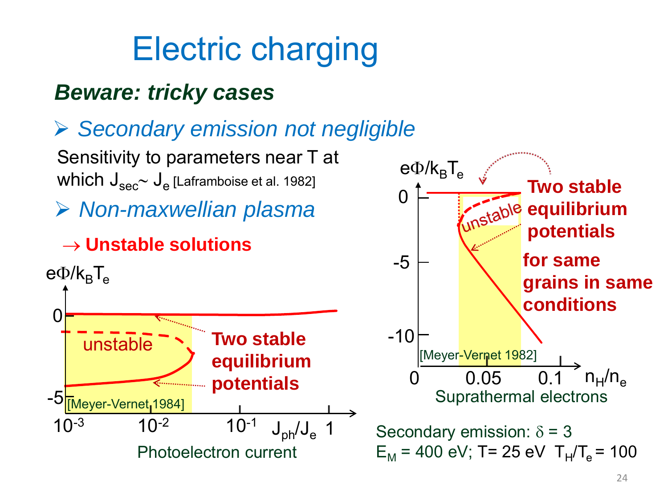# Electric charging

### *Beware: tricky cases*



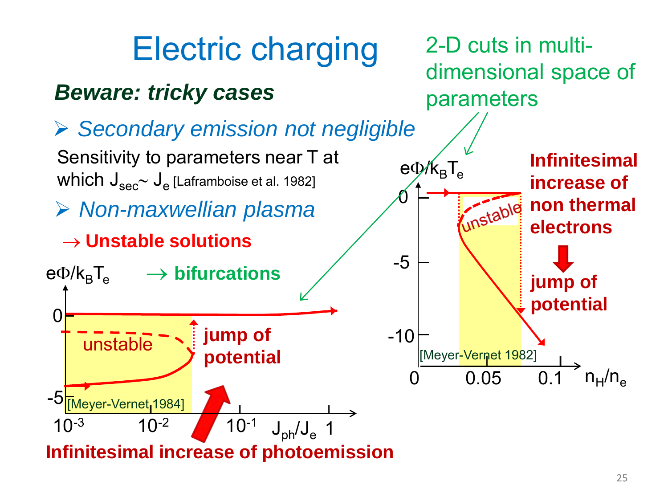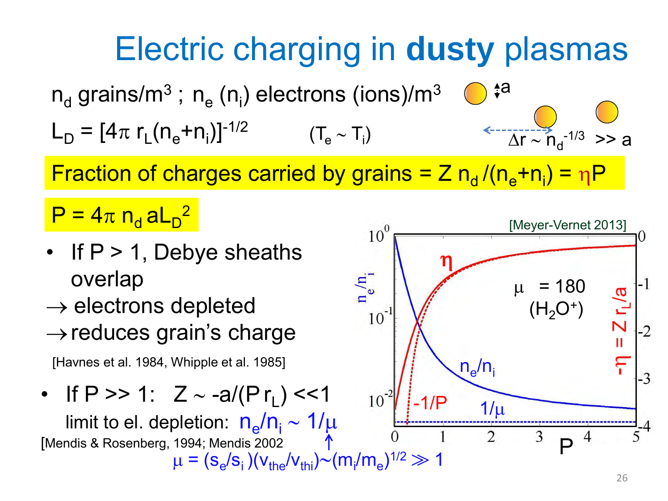

Fraction of charges carried by grains = Z  $n_d / (n_e + n_i) = nP$ 

 $\mathsf{P}=4\pi\;\mathsf{n_d}\,\mathsf{aL_D}^2$ 

- If  $P > 1$ , Debye sheaths overlap
- $\rightarrow$  electrons depleted
- $\rightarrow$  reduces grain's charge

[Havnes et al. 1984, Whipple et al. 1985]

• If P >> 1:  $Z \sim -a/(Pr_1)$  <<1

limit to el. depletion:  $n_e/n_i \sim 1/\mu$ [Mendis & Rosenberg, 1994; Mendis 2002  $\mu = (s_e/s_i)(v_{the}/v_{thi}) \sim (m_i/m_e)^{1/2} \gg 1$ 

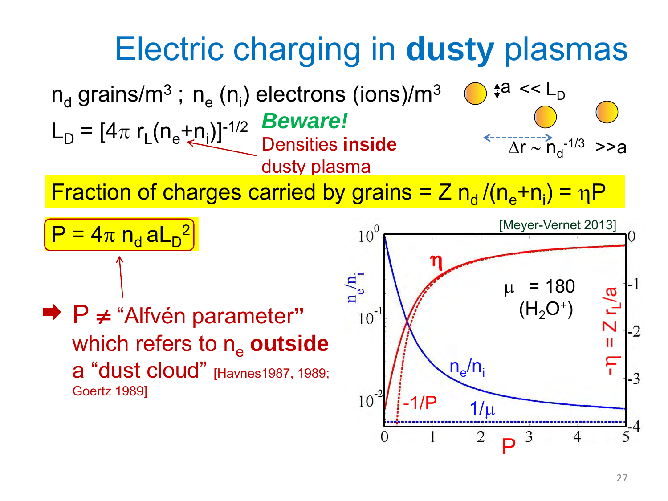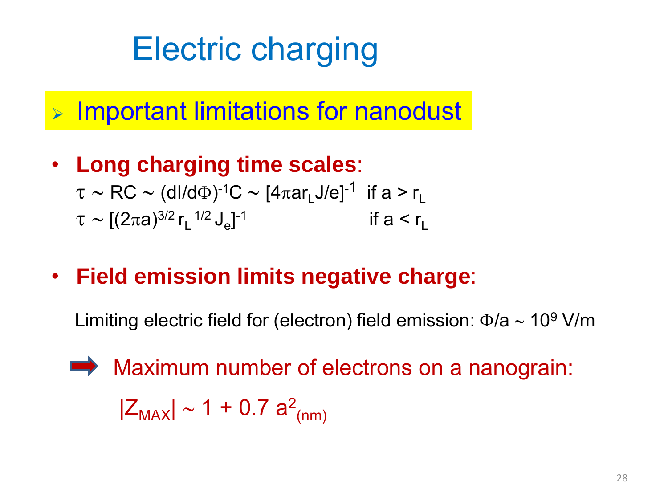# Electric charging

 $\triangleright$  Important limitations for nanodust

- **Long charging time scales**:  $\tau \sim \text{RC} \sim (dl/d\Phi)^{-1}\text{C} \sim [4\pi \text{ar}_L J/e]^{-1}$  if a > r<sub>L</sub>  $\tau \sim [(2\pi a)^{3/2} r_L^{1/2} J_e]$ if  $a < r<sub>1</sub>$
- **Field emission limits negative charge**:

Limiting electric field for (electron) field emission:  $\Phi/a \sim 10^9$  V/m

Maximum number of electrons on a nanograin:  

$$
|Z_{MAX}| \sim 1 + 0.7 a^2_{(nm)}
$$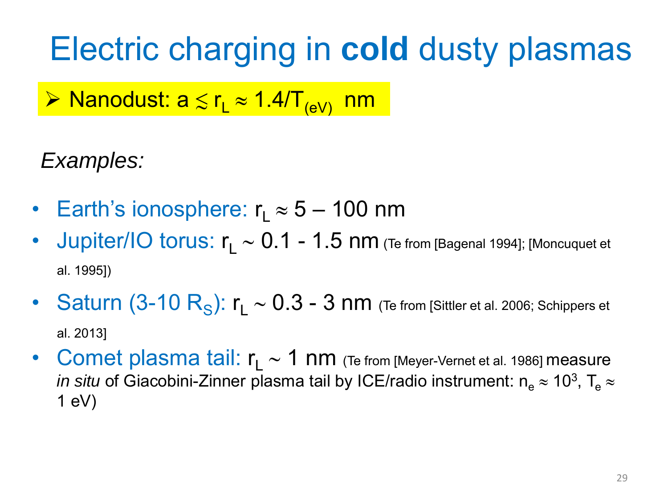> Nanodust:  $a \le r_L \approx 1.4/T_{\text{(eV)}}$  nm

### *Examples:*

- Earth's ionosphere:  $r_1 \approx 5 100$  nm
- Jupiter/IO torus: r<sub>1</sub> ~ 0.1 1.5 nm (Te from [Bagenal 1994]; [Moncuquet et al. 1995])
- Saturn (3-10 R<sub>S</sub>):  $r_1 \sim 0.3$  3 nm (Te from [Sittler et al. 2006; Schippers et al. 2013]
- Comet plasma tail: r<sub>L</sub> ∼ 1 nm (Te from [Meyer-Vernet et al. 1986] measure *in situ* of Giacobini-Zinner plasma tail by ICE/radio instrument:  $n_e \approx 10^3$ , T<sub>e</sub>  $\approx$  $1 eV$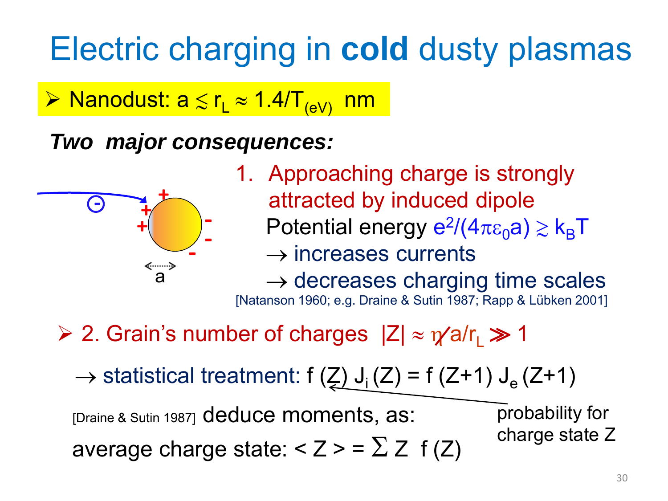> Nanodust:  $a \le r_L \approx 1.4/T_{(eV)}$  nm

### *Two major consequences:*



1. Approaching charge is strongly attracted by induced dipole Potential energy  $e^2/(4\pi \epsilon_0 a) \gtrsim k_B T$  $\rightarrow$  increases currents  $\rightarrow$  decreases charging time scales

[Natanson 1960; e.g. Draine & Sutin 1987; Rapp & Lübken 2001]

 $\geq 2$ . Grain's number of charges  $|Z| \approx \gamma a/r \gg 1$ 

 $\rightarrow$  statistical treatment: f (Z) J<sub>i</sub> (Z) = f (Z+1) J<sub>e</sub> (Z+1)

[Draine & Sutin 1987] deduce moments, as: average charge state:  $<$  Z  $>$  =  $\sum Z$  f (Z) probability for charge state Z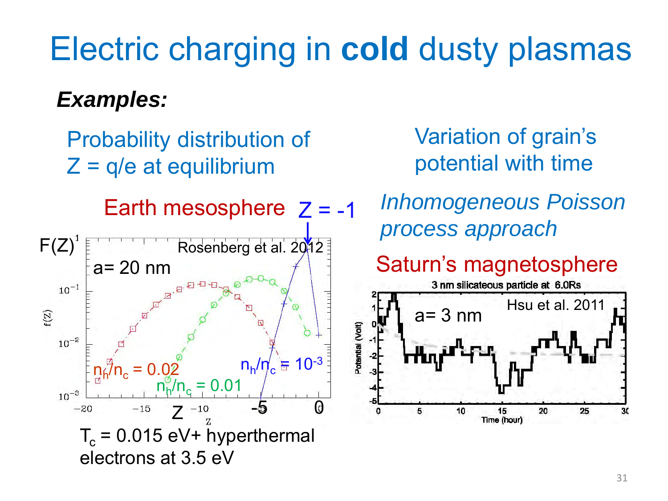### *Examples:*

Probability distribution of  $Z = q/e$  at equilibrium



Variation of grain's potential with time

Earth mesosphere  $Z = -1$  Inhomogeneous Poisson *process approach*

Saturn's magnetosphere

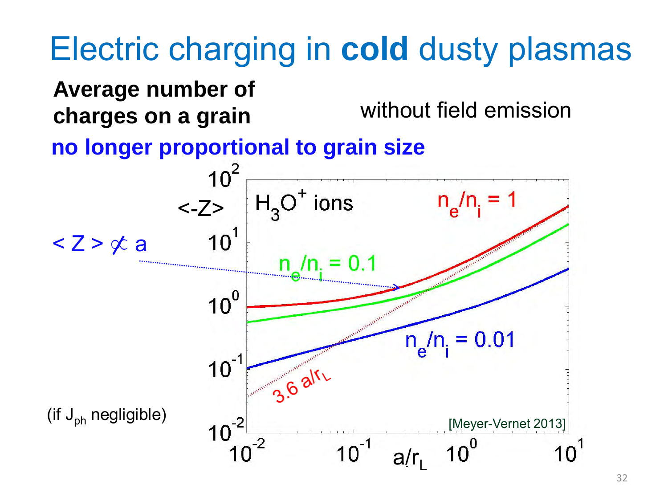### **Average number of charges on a grain** without field emission

#### **no longer proportional to grain size**

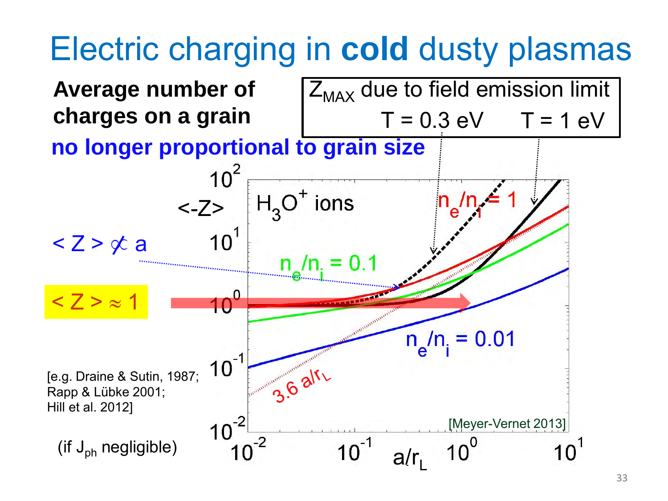